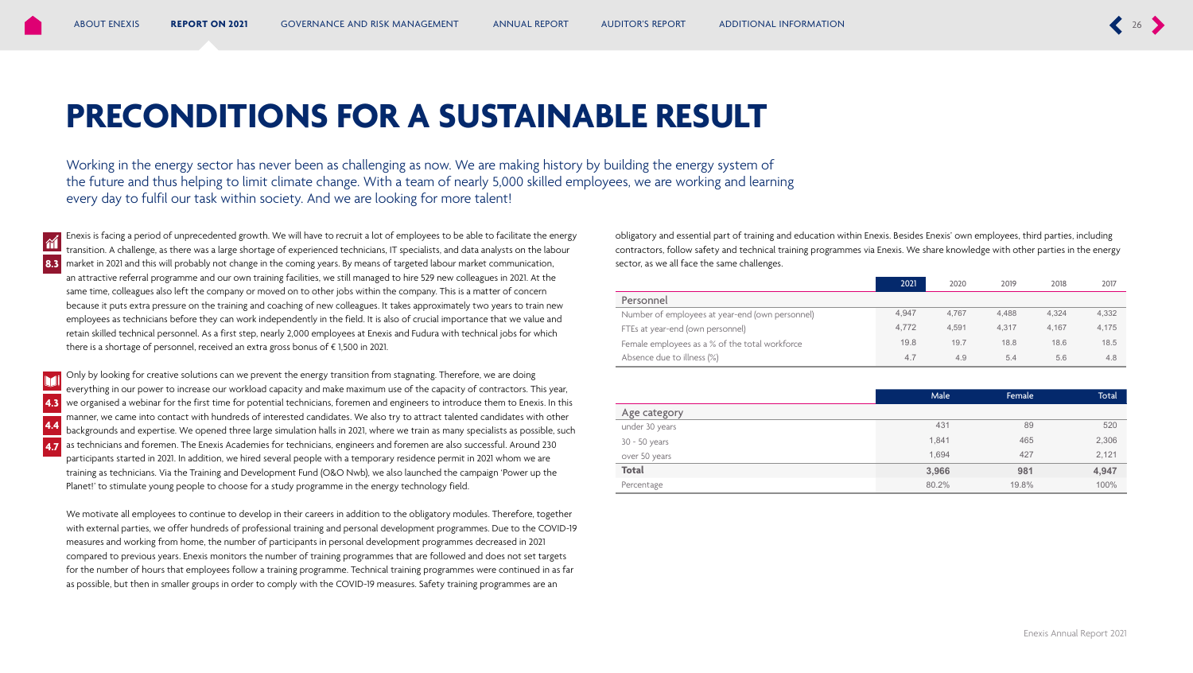# **PRECONDITIONS FOR A SUSTAINABLE RESULT**

Working in the energy sector has never been as challenging as now. We are making history by building the energy system of the future and thus helping to limit climate change. With a team of nearly 5,000 skilled employees, we are working and learning every day to fulfil our task within society. And we are looking for more talent!

Enexis is facing a period of unprecedented growth. We will have to recruit a lot of employees to be able to facilitate the energy transition. A challenge, as there was a large shortage of experienced technicians, IT specialists, and data analysts on the labour market in 2021 and this will probably not change in the coming years. By means of targeted labour market communication, an attractive referral programme and our own training facilities, we still managed to hire 529 new colleagues in 2021. At the same time, colleagues also left the company or moved on to other jobs within the company. This is a matter of concern because it puts extra pressure on the training and coaching of new colleagues. It takes approximately two years to train new employees as technicians before they can work independently in the field. It is also of crucial importance that we value and retain skilled technical personnel. As a first step, nearly 2,000 employees at Enexis and Fudura with technical jobs for which there is a shortage of personnel, received an extra gross bonus of € 1,500 in 2021. **8.3**

 $\hat{\mathbf{n}}$ 

Only by looking for creative solutions can we prevent the energy transition from stagnating. Therefore, we are doing everything in our power to increase our workload capacity and make maximum use of the capacity of contractors. This year, we organised a webinar for the first time for potential technicians, foremen and engineers to introduce them to Enexis. In this manner, we came into contact with hundreds of interested candidates. We also try to attract talented candidates with other backgrounds and expertise. We opened three large simulation halls in 2021, where we train as many specialists as possible, such as technicians and foremen. The Enexis Academies for technicians, engineers and foremen are also successful. Around 230 participants started in 2021. In addition, we hired several people with a temporary residence permit in 2021 whom we are training as technicians. Via the Training and Development Fund (O&O Nwb), we also launched the campaign 'Power up the Planet!' to stimulate young people to choose for a study programme in the energy technology field. **4.3 4.4 4.7**

We motivate all employees to continue to develop in their careers in addition to the obligatory modules. Therefore, together with external parties, we offer hundreds of professional training and personal development programmes. Due to the COVID-19 measures and working from home, the number of participants in personal development programmes decreased in 2021 compared to previous years. Enexis monitors the number of training programmes that are followed and does not set targets for the number of hours that employees follow a training programme. Technical training programmes were continued in as far as possible, but then in smaller groups in order to comply with the COVID-19 measures. Safety training programmes are an

obligatory and essential part of training and education within Enexis. Besides Enexis' own employees, third parties, including contractors, follow safety and technical training programmes via Enexis. We share knowledge with other parties in the energy sector, as we all face the same challenges.

|                                                 | 2021  | 2020  | 2019  | 2018  | 2017  |
|-------------------------------------------------|-------|-------|-------|-------|-------|
| Personnel                                       |       |       |       |       |       |
| Number of employees at year-end (own personnel) | 4.947 | 4.767 | 4.488 | 4.324 | 4,332 |
| FTEs at year-end (own personnel)                | 4.772 | 4.591 | 4.317 | 4.167 | 4,175 |
| Female employees as a % of the total workforce  | 19.8  | 19.7  | 18.8  | 18.6  | 18.5  |
| Absence due to illness (%)                      | 4.7   | 4.9   | 5.4   | 5.6   | 4.8   |

|                | Male  | Female | <b>Total</b> |
|----------------|-------|--------|--------------|
| Age category   |       |        |              |
| under 30 years | 431   | 89     | 520          |
| 30 - 50 years  | 1,841 | 465    | 2,306        |
| over 50 years  | 1.694 | 427    | 2,121        |
| <b>Total</b>   | 3,966 | 981    | 4,947        |
| Percentage     | 80.2% | 19.8%  | 100%         |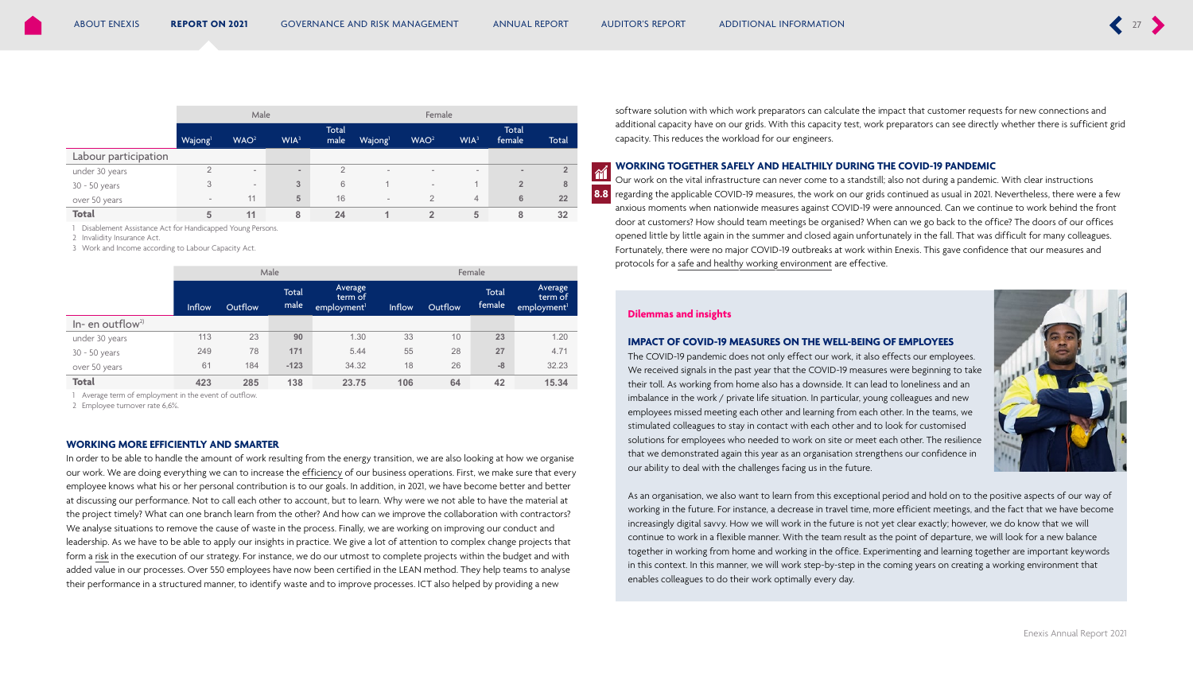<span id="page-1-0"></span>

|                      | Male                     |                          |                  |                      | Female                   |                          |                          |                          |                |
|----------------------|--------------------------|--------------------------|------------------|----------------------|--------------------------|--------------------------|--------------------------|--------------------------|----------------|
|                      | Wajong <sup>1</sup>      | WAO <sup>2</sup>         | WIA <sup>3</sup> | <b>Total</b><br>male | Wajong                   | WAO <sup>2</sup>         | WIA <sup>3</sup>         | Total<br>female          | Total          |
| Labour participation |                          |                          |                  |                      |                          |                          |                          |                          |                |
| under 30 years       | $\Omega$                 | $\overline{\phantom{a}}$ | $\sim$           | $\overline{2}$       | $\overline{\phantom{a}}$ | $\overline{\phantom{a}}$ | $\overline{\phantom{0}}$ | $\overline{\phantom{a}}$ | $\overline{2}$ |
| 30 - 50 years        | 3                        | $\overline{\phantom{a}}$ | 3                | 6                    |                          | $\overline{\phantom{a}}$ |                          | $\overline{2}$           | 8              |
| over 50 years        | $\overline{\phantom{a}}$ | 11                       | 5                | 16                   | $\overline{\phantom{a}}$ | $\overline{2}$           | $\overline{4}$           | 6                        | 22             |
| <b>Total</b>         | 5                        | 11                       | 8                | 24                   |                          | $\overline{2}$           | 5                        | 8                        | 32             |

1 Disablement Assistance Act for Handicapped Young Persons.

2 Invalidity Insurance Act.

3 Work and Income according to Labour Capacity Act.

|                              | Male          |         |                      | Female                                        |        |         |                        |                                               |
|------------------------------|---------------|---------|----------------------|-----------------------------------------------|--------|---------|------------------------|-----------------------------------------------|
|                              | <b>Inflow</b> | Outflow | <b>Total</b><br>male | Average<br>term of<br>employment <sup>1</sup> | Inflow | Outflow | <b>Total</b><br>female | Average<br>term of<br>employment <sup>1</sup> |
| In- en outflow <sup>2)</sup> |               |         |                      |                                               |        |         |                        |                                               |
| under 30 years               | 113           | 23      | 90                   | 1.30                                          | 33     | 10      | 23                     | 1.20                                          |
| 30 - 50 years                | 249           | 78      | 171                  | 5.44                                          | 55     | 28      | 27                     | 4.71                                          |
| over 50 years                | 61            | 184     | $-123$               | 34.32                                         | 18     | 26      | $-8$                   | 32.23                                         |
| <b>Total</b>                 | 423           | 285     | 138                  | 23.75                                         | 106    | 64      | 42                     | 15.34                                         |

1 Average term of employment in the event of outflow.

2 Employee turnover rate 6,6%.

#### **WORKING MORE EFFICIENTLY AND SMARTER**

In order to be able to handle the amount of work resulting from the energy transition, we are also looking at how we organise our work. We are doing everything we can to increase the efficiency of our business operations. First, we make sure that every employee knows what his or her personal contribution is to our goals. In addition, in 2021, we have become better and better at discussing our performance. Not to call each other to account, but to learn. Why were we not able to have the material at the project timely? What can one branch learn from the other? And how can we improve the collaboration with contractors? We analyse situations to remove the cause of waste in the process. Finally, we are working on improving our conduct and leadership. As we have to be able to apply our insights in practice. We give a lot of attention to complex change projects that form a risk in the execution of our strategy. For instance, we do our utmost to complete projects within the budget and with added value in our processes. Over 550 employees have now been certified in the LEAN method. They help teams to analyse their performance in a structured manner, to identify waste and to improve processes. ICT also helped by providing a new

software solution with which work preparators can calculate the impact that customer requests for new connections and additional capacity have on our grids. With this capacity test, work preparators can see directly whether there is sufficient grid capacity. This reduces the workload for our engineers.

#### **WORKING TOGETHER SAFELY AND HEALTHILY DURING THE COVID-19 PANDEMIC**

Our work on the vital infrastructure can never come to a standstill; also not during a pandemic. With clear instructions regarding the applicable COVID-19 measures, the work on our grids continued as usual in 2021. Nevertheless, there were a few anxious moments when nationwide measures against COVID-19 were announced. Can we continue to work behind the front door at customers? How should team meetings be organised? When can we go back to the office? The doors of our offices opened little by little again in the summer and closed again unfortunately in the fall. That was difficult for many colleagues. Fortunately, there were no major COVID-19 outbreaks at work within Enexis. This gave confidence that our measures and protocols for a <u>safe and healthy working environment</u> are effective.<br>

#### **Dilemmas and insights**

**8.8**

 $\gamma$ 

#### **IMPACT OF COVID-19 MEASURES ON THE WELL-BEING OF EMPLOYEES**

The COVID-19 pandemic does not only effect our work, it also effects our employees. We received signals in the past year that the COVID-19 measures were beginning to take their toll. As working from home also has a downside. It can lead to loneliness and an imbalance in the work / private life situation. In particular, young colleagues and new employees missed meeting each other and learning from each other. In the teams, we stimulated colleagues to stay in contact with each other and to look for customised solutions for employees who needed to work on site or meet each other. The resilience that we demonstrated again this year as an organisation strengthens our confidence in our ability to deal with the challenges facing us in the future.



As an organisation, we also want to learn from this exceptional period and hold on to the positive aspects of our way of working in the future. For instance, a decrease in travel time, more efficient meetings, and the fact that we have become increasingly digital savvy. How we will work in the future is not yet clear exactly; however, we do know that we will continue to work in a flexible manner. With the team result as the point of departure, we will look for a new balance together in working from home and working in the office. Experimenting and learning together are important keywords in this context. In this manner, we will work step-by-step in the coming years on creating a working environment that enables colleagues to do their work optimally every day.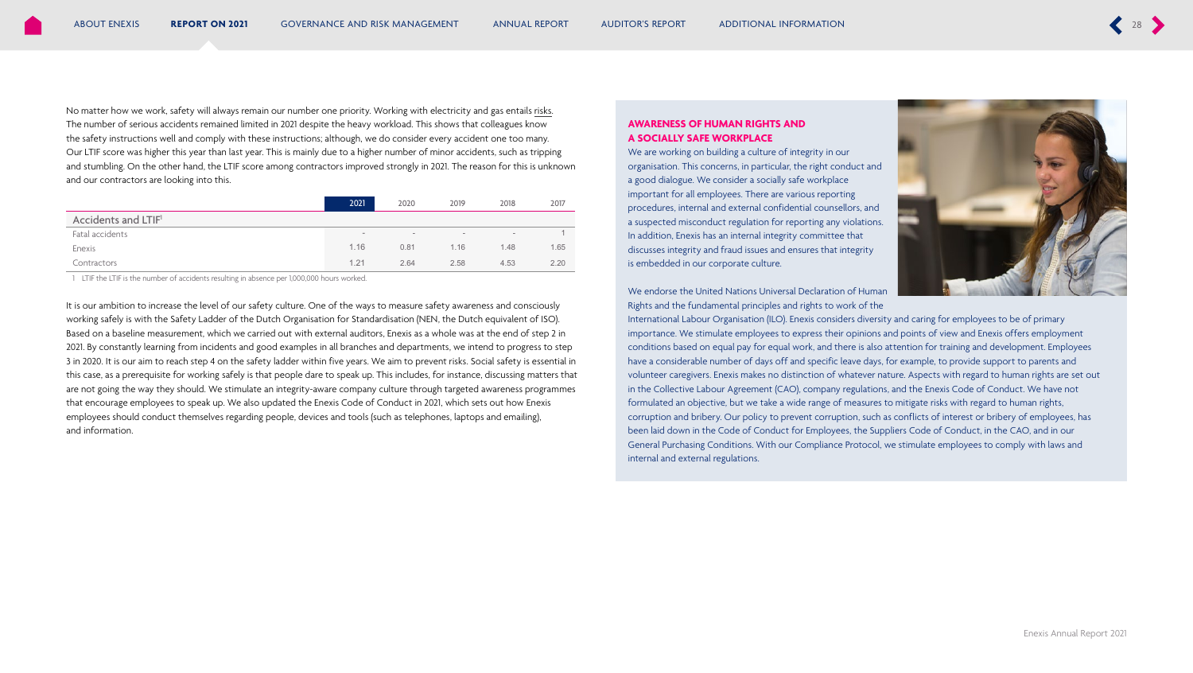<span id="page-2-0"></span>No matter how we work, safety will always remain our number one priority. Working with electricity and gas entails risks. The number of serious accidents remained limited in 2021 despite the heavy workload. This shows that colleagues know the safety instructions well and comply with these instructions; although, we do consider every accident one too many. Our LTIF score was higher this year than last year. This is mainly due to a higher number of minor accidents, such as tripping and stumbling. On the other hand, the LTIF score among contractors improved strongly in 2021. The reason for this is unknown and our contractors are looking into this.

|                                 | 2021   | 2020 | 2019 | 2018 | 2017 |
|---------------------------------|--------|------|------|------|------|
| Accidents and LTIF <sup>1</sup> |        |      |      |      |      |
| Fatal accidents                 | $\sim$ | -    | $\;$ | $\,$ |      |
| Enexis                          | 1.16   | 0.81 | 1.16 | 1.48 | 1.65 |
| Contractors                     | 1.21   | 2.64 | 2.58 | 4.53 | 2.20 |

1 LTIF the LTIF is the number of accidents resulting in absence per 1,000,000 hours worked.

It is our ambition to increase the level of our safety culture. One of the ways to measure safety awareness and consciously working safely is with the Safety Ladder of the Dutch Organisation for Standardisation (NEN, the Dutch equivalent of ISO). Based on a baseline measurement, which we carried out with external auditors, Enexis as a whole was at the end of step 2 in 2021. By constantly learning from incidents and good examples in all branches and departments, we intend to progress to step 3 in 2020. It is our aim to reach step 4 on the safety ladder within five years. We aim to prevent risks. Social safety is essential in this case, as a prerequisite for working safely is that people dare to speak up. This includes, for instance, discussing matters that are not going the way they should. We stimulate an integrity-aware company culture through targeted awareness programmes that encourage employees to speak up. We also updated the Enexis Code of Conduct in 2021, which sets out how Enexis employees should conduct themselves regarding people, devices and tools (such as telephones, laptops and emailing), and information.

### **AWARENESS OF HUMAN RIGHTS AND A SOCIALLY SAFE WORKPLACE**

We are working on building a culture of integrity in our organisation. This concerns, in particular, the right conduct and a good dialogue. We consider a socially safe workplace important for all employees. There are various reporting procedures, internal and external confidential counsellors, and a suspected misconduct regulation for reporting any violations. In addition, Enexis has an internal integrity committee that discusses integrity and fraud issues and ensures that integrity is embedded in our corporate culture.



We endorse the United Nations Universal Declaration of Human Rights and the fundamental principles and rights to work of the

International Labour Organisation (ILO). Enexis considers diversity and caring for employees to be of primary importance. We stimulate employees to express their opinions and points of view and Enexis offers employment conditions based on equal pay for equal work, and there is also attention for training and development. Employees have a considerable number of days off and specific leave days, for example, to provide support to parents and volunteer caregivers. Enexis makes no distinction of whatever nature. Aspects with regard to human rights are set out in the Collective Labour Agreement (CAO), company regulations, and the Enexis Code of Conduct. We have not formulated an objective, but we take a wide range of measures to mitigate risks with regard to human rights, corruption and bribery. Our policy to prevent corruption, such as conflicts of interest or bribery of employees, has been laid down in the Code of Conduct for Employees, the Suppliers Code of Conduct, in the CAO, and in our General Purchasing Conditions. With our Compliance Protocol, we stimulate employees to comply with laws and internal and external regulations.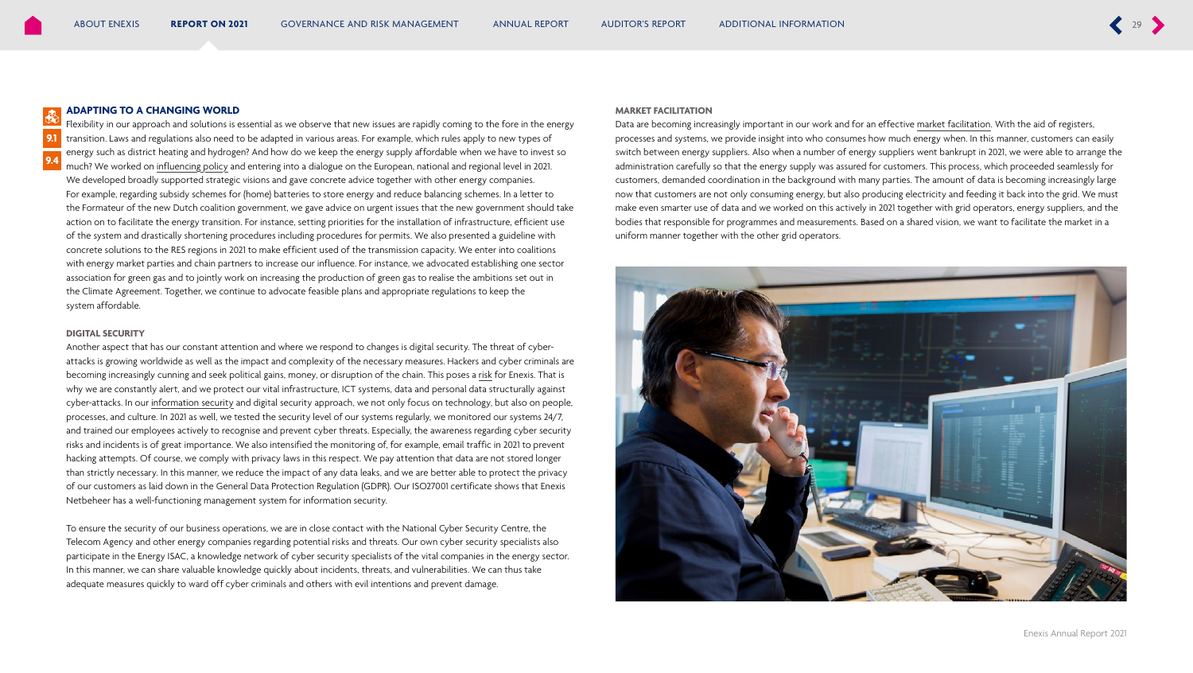#### <span id="page-3-0"></span>**ADAPTING TO A CHANGING WORLD**

Flexibility in our approach and solutions is essential as we observe that new issues are rapidly coming to the fore in the energy transition. Laws and regulations also need to be adapted in various areas. For example, which rules apply to new types of energy such as district heating and hydrogen? And how do we keep the energy supply affordable when we have to invest so much? We worked on influencing policy and entering into a dialogue on the European, national and regional level in 2021. We developed broadly supported strategic visions and gave concrete advice together with other energy companies. For example, regarding subsidy schemes for (home) batteries to store energy and reduce balancing schemes. In a letter to the Formateur of the new Dutch coalition government, we gave advice on urgent issues that the new government should take action on to facilitate the energy transition. For instance, setting priorities for the installation of infrastructure, efficient use of the system and drastically shortening procedures including procedures for permits. We also presented a guideline with concrete solutions to the RES regions in 2021 to make efficient used of the transmission capacity. We enter into coalitions with energy market parties and chain partners to increase our influence. For instance, we advocated establishing one sector association for green gas and to jointly work on increasing the production of green gas to realise the ambitions set out in the Climate Agreement. Together, we continue to advocate feasible plans and appropriate regulations to keep the system affordable.

#### **DIGITAL SECURITY**

**9.1 9.4**

> Another aspect that has our constant attention and where we respond to changes is digital security. The threat of cyberattacks is growing worldwide as well as the impact and complexity of the necessary measures. Hackers and cyber criminals are becoming increasingly cunning and seek political gains, money, or disruption of the chain. This poses a risk for Enexis. That is why we are constantly alert, and we protect our vital infrastructure, ICT systems, data and personal data structurally against cyber-attacks. In our information security and digital security approach, we not only focus on technology, but also on people, processes, and culture. In 2021 as well, we tested the security level of our systems regularly, we monitored our systems 24/7, and trained our employees actively to recognise and prevent cyber threats. Especially, the awareness regarding cyber security risks and incidents is of great importance. We also intensified the monitoring of, for example, email traffic in 2021 to prevent hacking attempts. Of course, we comply with privacy laws in this respect. We pay attention that data are not stored longer than strictly necessary. In this manner, we reduce the impact of any data leaks, and we are better able to protect the privacy of our customers as laid down in the General Data Protection Regulation (GDPR). Our ISO27001 certificate shows that Enexis Netbeheer has a well-functioning management system for information security.

> To ensure the security of our business operations, we are in close contact with the National Cyber Security Centre, the Telecom Agency and other energy companies regarding potential risks and threats. Our own cyber security specialists also participate in the Energy ISAC, a knowledge network of cyber security specialists of the vital companies in the energy sector. In this manner, we can share valuable knowledge quickly about incidents, threats, and vulnerabilities. We can thus take adequate measures quickly to ward off cyber criminals and others with evil intentions and prevent damage.

#### **MARKET FACILITATION**

Data are becoming increasingly important in our work and for an effective market facilitation. With the aid of registers, processes and systems, we provide insight into who consumes how much energy when. In this manner, customers can easily switch between energy suppliers. Also when a number of energy suppliers went bankrupt in 2021, we were able to arrange the administration carefully so that the energy supply was assured for customers. This process, which proceeded seamlessly for customers, demanded coordination in the background with many parties. The amount of data is becoming increasingly large now that customers are not only consuming energy, but also producing electricity and feeding it back into the grid. We must make even smarter use of data and we worked on this actively in 2021 together with grid operators, energy suppliers, and the bodies that responsible for programmes and measurements. Based on a shared vision, we want to facilitate the market in a uniform manner together with the other grid operators.

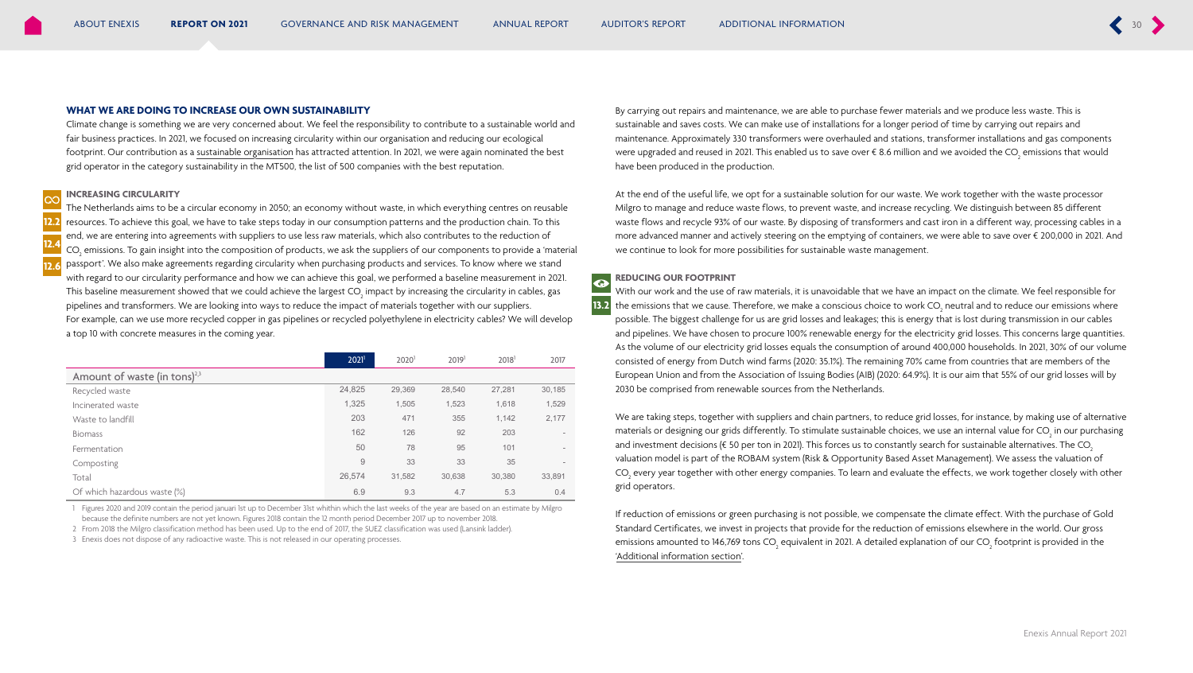#### **WHAT WE ARE DOING TO INCREASE OUR OWN SUSTAINABILITY**

Climate change is something we are very concerned about. We feel the responsibility to contribute to a sustainable world and fair business practices. In 2021, we focused on increasing circularity within our organisation and reducing our ecological footprint. Our contribution as a sustainable organisation has attracted attention. In 2021, we were again nominated the best grid operator in the category sustainability in the MT500, the list of 500 companies with the best reputation.

#### **INCREASING CIRCULARITY**

The Netherlands aims to be a circular economy in 2050; an economy without waste, in which everything centres on reusable resources. To achieve this goal, we have to take steps today in our consumption patterns and the production chain. To this end, we are entering into agreements with suppliers to use less raw materials, which also contributes to the reduction of CO<sub>2</sub> emissions. To gain insight into the composition of products, we ask the suppliers of our components to provide a 'material passport'. We also make agreements regarding circularity when purchasing products and services. To know where we stand with regard to our circularity performance and how we can achieve this goal, we performed a baseline measurement in 2021. This baseline measurement showed that we could achieve the largest CO<sub>2</sub> impact by increasing the circularity in cables, gas pipelines and transformers. We are looking into ways to reduce the impact of materials together with our suppliers. For example, can we use more recycled copper in gas pipelines or recycled polyethylene in electricity cables? We will develop a top 10 with concrete measures in the coming year. **12.2 12.4 12.6**

|                                          | $2021$ <sup>1</sup> | 2020 <sup>1</sup> | 2019 <sup>1</sup> | 2018 <sup>1</sup> | 2017   |  |  |
|------------------------------------------|---------------------|-------------------|-------------------|-------------------|--------|--|--|
| Amount of waste (in tons) <sup>2,3</sup> |                     |                   |                   |                   |        |  |  |
| Recycled waste                           | 24,825              | 29,369            | 28,540            | 27,281            | 30,185 |  |  |
| Incinerated waste                        | 1,325               | 1,505             | 1,523             | 1,618             | 1,529  |  |  |
| Waste to landfill                        | 203                 | 471               | 355               | 1,142             | 2,177  |  |  |
| <b>Biomass</b>                           | 162                 | 126               | 92                | 203               |        |  |  |
| Fermentation                             | 50                  | 78                | 95                | 101               |        |  |  |
| Composting                               | 9                   | 33                | 33                | 35                |        |  |  |
| Total                                    | 26,574              | 31,582            | 30,638            | 30,380            | 33,891 |  |  |
| Of which hazardous waste (%)             | 6.9                 | 9.3               | 4.7               | 5.3               | 0.4    |  |  |

1 Figures 2020 and 2019 contain the period januari 1st up to December 31st whithin which the last weeks of the year are based on an estimate by Milgro because the definite numbers are not yet known. Figures 2018 contain the 12 month period December 2017 up to november 2018.

2 From 2018 the Milgro classification method has been used. Up to the end of 2017, the SUEZ classification was used (Lansink ladder).

3 Enexis does not dispose of any radioactive waste. This is not released in our operating processes.

By carrying out repairs and maintenance, we are able to purchase fewer materials and we produce less waste. This is sustainable and saves costs. We can make use of installations for a longer period of time by carrying out repairs and maintenance. Approximately 330 transformers were overhauled and stations, transformer installations and gas components were upgraded and reused in 2021. This enabled us to save over € 8.6 million and we avoided the CO<sub>2</sub> emissions that would have been produced in the production.

At the end of the useful life, we opt for a sustainable solution for our waste. We work together with the waste processor Milgro to manage and reduce waste flows, to prevent waste, and increase recycling. We distinguish between 85 different waste flows and recycle 93% of our waste. By disposing of transformers and cast iron in a different way, processing cables in a more advanced manner and actively steering on the emptying of containers, we were able to save over € 200,000 in 2021. And we continue to look for more possibilities for sustainable waste management.

#### **REDUCING OUR FOOTPRINT**

**13.2**

 $\overline{\mathbf{Q}}$ 

With our work and the use of raw materials, it is unavoidable that we have an impact on the climate. We feel responsible for the emissions that we cause. Therefore, we make a conscious choice to work CO<sub>2</sub> neutral and to reduce our emissions where possible. The biggest challenge for us are grid losses and leakages; this is energy that is lost during transmission in our cables and pipelines. We have chosen to procure 100% renewable energy for the electricity grid losses. This concerns large quantities. As the volume of our electricity grid losses equals the consumption of around 400,000 households. In 2021, 30% of our volume consisted of energy from Dutch wind farms (2020: 35.1%). The remaining 70% came from countries that are members of the European Union and from the Association of Issuing Bodies (AIB) (2020: 64.9%). It is our aim that 55% of our grid losses will by 2030 be comprised from renewable sources from the Netherlands.

We are taking steps, together with suppliers and chain partners, to reduce grid losses, for instance, by making use of alternative materials or designing our grids differently. To stimulate sustainable choices, we use an internal value for CO $_{_2}$  in our purchasing and investment decisions ( $\epsilon$  50 per ton in 2021). This forces us to constantly search for sustainable alternatives. The CO<sub>3</sub> valuation model is part of the ROBAM system (Risk & Opportunity Based Asset Management). We assess the valuation of CO<sub>2</sub> every year together with other energy companies. To learn and evaluate the effects, we work together closely with other grid operators.

If reduction of emissions or green purchasing is not possible, we compensate the climate effect. With the purchase of Gold Standard Certificates, we invest in projects that provide for the reduction of emissions elsewhere in the world. Our gross emissions amounted to 146,769 tons CO<sub>2</sub> equivalent in 2021. A detailed explanation of our CO<sub>2</sub> footprint is provided in the 'Additional information section'.